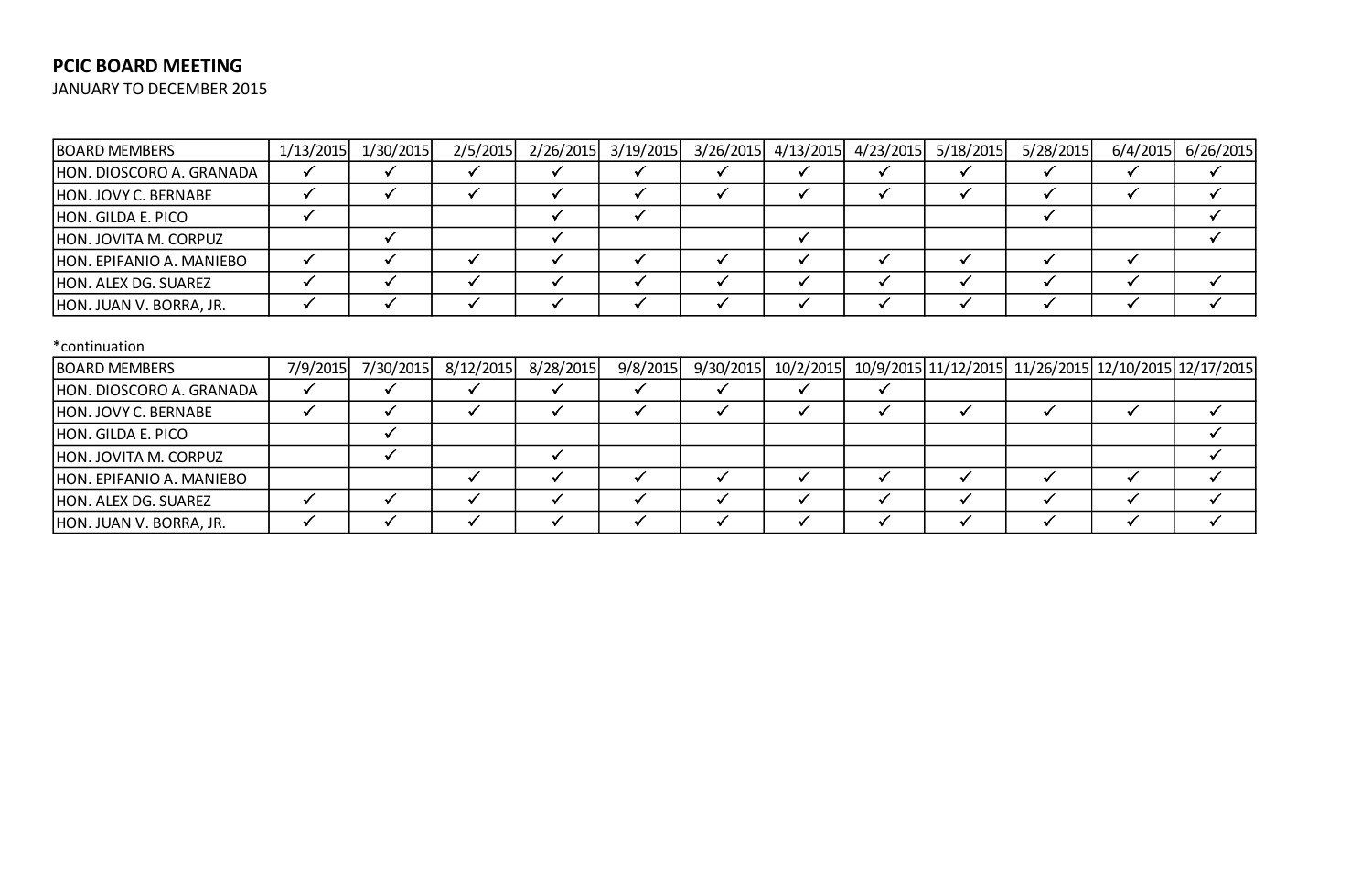## **PCIC BOARD MEETING**

JANUARY TO DECEMBER 2015

| <b>BOARD MEMBERS</b>     | 1/13/2015 | 1/30/2015 | 2/5/2015  | 2/26/2015 | 3/19/2015    | 3/26/2015    | 4/13/2015    | 4/23/2015    | 5/18/2015            | 5/28/2015    | 6/4/2015                         | 6/26/2015 |
|--------------------------|-----------|-----------|-----------|-----------|--------------|--------------|--------------|--------------|----------------------|--------------|----------------------------------|-----------|
| HON. DIOSCORO A. GRANADA |           |           |           |           |              |              | ✔            |              | $\checkmark$         |              |                                  |           |
| HON. JOVY C. BERNABE     |           |           |           | √         | $\checkmark$ | ✔            | $\checkmark$ | $\checkmark$ | ✓                    | ✔            |                                  | ✓         |
| HON. GILDA E. PICO       | ✓         |           |           | ✔         | $\checkmark$ |              |              |              |                      | ✔            |                                  | ✓         |
| HON. JOVITA M. CORPUZ    |           |           |           | ✓         |              |              | $\checkmark$ |              |                      |              |                                  |           |
| HON. EPIFANIO A. MANIEBO |           |           | ✓         | √         | ✓            | v            | $\checkmark$ | M            | $\checkmark$         | ✔            |                                  |           |
| HON. ALEX DG. SUAREZ     |           |           | ✓         | ✓         | $\checkmark$ | $\checkmark$ | $\checkmark$ | $\mathbf{v}$ | √                    | √            |                                  | ✔         |
| HON. JUAN V. BORRA, JR.  |           |           | ✓         | ✔         | ✓            | ✔            | $\checkmark$ | √            | √                    | √            |                                  | ✓         |
| *continuation            |           |           |           |           |              |              |              |              |                      |              |                                  |           |
| <b>BOARD MEMBERS</b>     | 7/9/2015  | 7/30/2015 | 8/12/2015 | 8/28/2015 | 9/8/2015     | 9/30/2015    | 10/2/2015    |              | 10/9/2015 11/12/2015 |              | 11/26/2015 12/10/2015 12/17/2015 |           |
| HON. DIOSCORO A. GRANADA |           |           |           | ✓         | $\checkmark$ |              | ✓            |              |                      |              |                                  |           |
| HON. JOVY C. BERNABE     |           |           | ✓         | ✓         | $\checkmark$ | $\checkmark$ | $\checkmark$ | $\checkmark$ | $\checkmark$         | ✓            |                                  | ✓         |
| HON. GILDA E. PICO       |           |           |           |           |              |              |              |              |                      |              |                                  |           |
| HON. JOVITA M. CORPUZ    |           |           |           | √         |              |              |              |              |                      |              |                                  |           |
| HON. EPIFANIO A. MANIEBO |           |           | ✓         | ✓         | ✓            | $\checkmark$ | $\checkmark$ | $\checkmark$ | $\checkmark$         |              |                                  |           |
| HON. ALEX DG. SUAREZ     |           |           |           | ✓         | $\checkmark$ | $\checkmark$ | $\checkmark$ | √            | ✓                    | $\checkmark$ |                                  | ✓         |
| HON. JUAN V. BORRA, JR.  |           |           |           | ✓         | $\checkmark$ | $\checkmark$ | ✓            | ✓            | ✓                    |              |                                  |           |